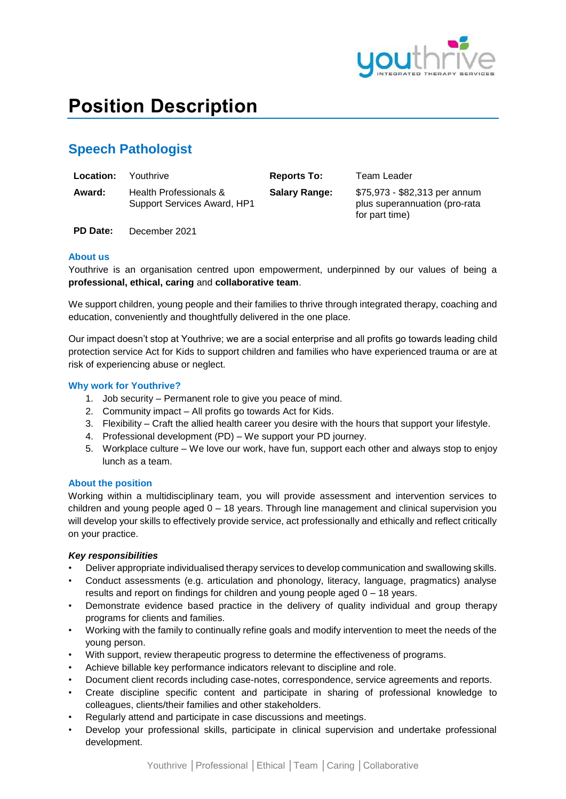

# **Position Description**

# **Speech Pathologist**

| <b>Location:</b> | Youthrive                                             | <b>Reports To:</b>   | Team Leader                                                                      |
|------------------|-------------------------------------------------------|----------------------|----------------------------------------------------------------------------------|
| Award:           | Health Professionals &<br>Support Services Award, HP1 | <b>Salary Range:</b> | \$75,973 - \$82,313 per annum<br>plus superannuation (pro-rata<br>for part time) |

**PD Date:** December 2021

# **About us**

Youthrive is an organisation centred upon empowerment, underpinned by our values of being a **professional, ethical, caring** and **collaborative team**.

We support children, young people and their families to thrive through integrated therapy, coaching and education, conveniently and thoughtfully delivered in the one place.

Our impact doesn't stop at Youthrive; we are a social enterprise and all profits go towards leading child protection service Act for Kids to support children and families who have experienced trauma or are at risk of experiencing abuse or neglect.

# **Why work for Youthrive?**

- 1. Job security Permanent role to give you peace of mind.
- 2. Community impact All profits go towards Act for Kids.
- 3. Flexibility Craft the allied health career you desire with the hours that support your lifestyle.
- 4. Professional development (PD) We support your PD journey.
- 5. Workplace culture We love our work, have fun, support each other and always stop to enjoy lunch as a team.

# **About the position**

Working within a multidisciplinary team, you will provide assessment and intervention services to children and young people aged 0 – 18 years. Through line management and clinical supervision you will develop your skills to effectively provide service, act professionally and ethically and reflect critically on your practice.

# *Key responsibilities*

- Deliver appropriate individualised therapy services to develop communication and swallowing skills.
- Conduct assessments (e.g. articulation and phonology, literacy, language, pragmatics) analyse results and report on findings for children and young people aged 0 – 18 years.
- Demonstrate evidence based practice in the delivery of quality individual and group therapy programs for clients and families.
- Working with the family to continually refine goals and modify intervention to meet the needs of the young person.
- With support, review therapeutic progress to determine the effectiveness of programs.
- Achieve billable key performance indicators relevant to discipline and role.
- Document client records including case-notes, correspondence, service agreements and reports.
- Create discipline specific content and participate in sharing of professional knowledge to colleagues, clients/their families and other stakeholders.
- Regularly attend and participate in case discussions and meetings.
- Develop your professional skills, participate in clinical supervision and undertake professional development.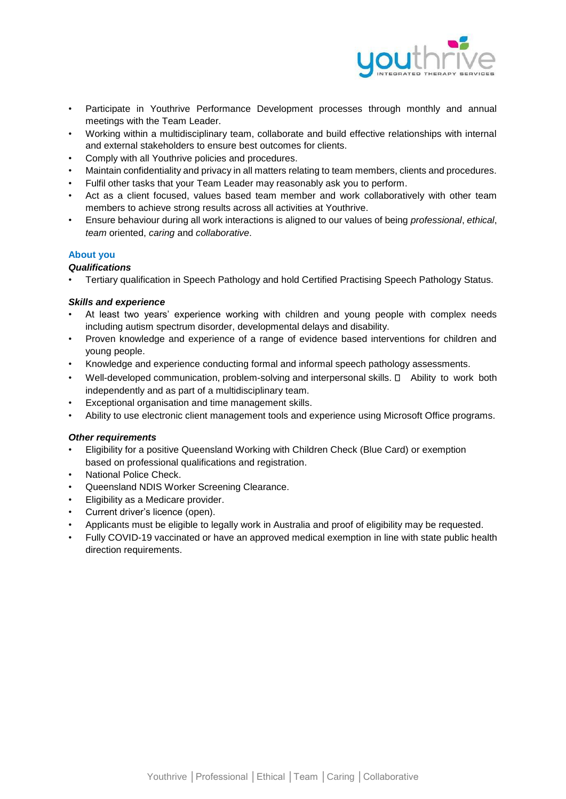

- Participate in Youthrive Performance Development processes through monthly and annual meetings with the Team Leader.
- Working within a multidisciplinary team, collaborate and build effective relationships with internal and external stakeholders to ensure best outcomes for clients.
- Comply with all Youthrive policies and procedures.
- Maintain confidentiality and privacy in all matters relating to team members, clients and procedures.
- Fulfil other tasks that your Team Leader may reasonably ask you to perform.
- Act as a client focused, values based team member and work collaboratively with other team members to achieve strong results across all activities at Youthrive.
- Ensure behaviour during all work interactions is aligned to our values of being *professional*, *ethical*, *team* oriented, *caring* and *collaborative*.

### **About you**

# *Qualifications*

• Tertiary qualification in Speech Pathology and hold Certified Practising Speech Pathology Status.

### *Skills and experience*

- At least two years' experience working with children and young people with complex needs including autism spectrum disorder, developmental delays and disability.
- Proven knowledge and experience of a range of evidence based interventions for children and young people.
- Knowledge and experience conducting formal and informal speech pathology assessments.
- Well-developed communication, problem-solving and interpersonal skills.  $\Box$  Ability to work both independently and as part of a multidisciplinary team.
- Exceptional organisation and time management skills.
- Ability to use electronic client management tools and experience using Microsoft Office programs.

### *Other requirements*

- Eligibility for a positive Queensland Working with Children Check (Blue Card) or exemption based on professional qualifications and registration.
- National Police Check.
- Queensland NDIS Worker Screening Clearance.
- Eligibility as a Medicare provider.
- Current driver's licence (open).
- Applicants must be eligible to legally work in Australia and proof of eligibility may be requested.
- Fully COVID-19 vaccinated or have an approved medical exemption in line with state public health direction requirements.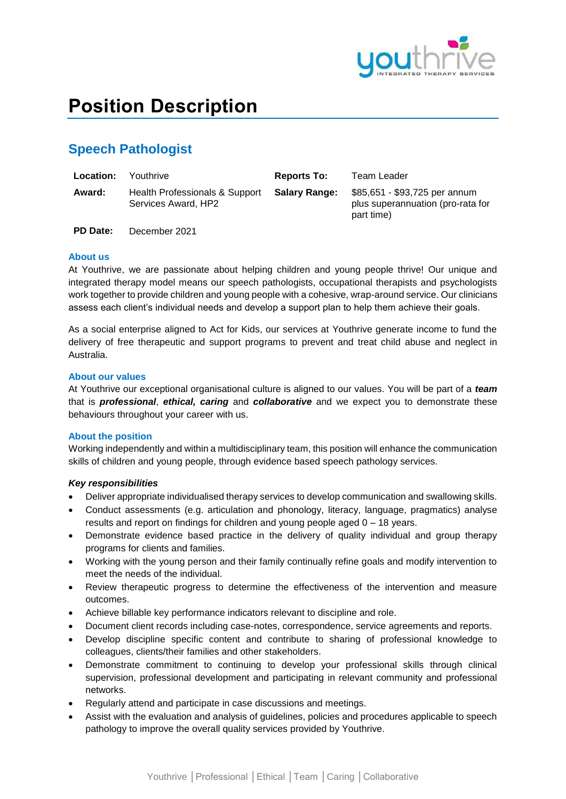

# **Position Description**

# **Speech Pathologist**

**PD Date:** December 2021

| <b>Location:</b> | Youthrive                                             | <b>Reports To:</b>   | Team Leader                                                                      |
|------------------|-------------------------------------------------------|----------------------|----------------------------------------------------------------------------------|
| Award:           | Health Professionals & Support<br>Services Award, HP2 | <b>Salary Range:</b> | \$85,651 - \$93,725 per annum<br>plus superannuation (pro-rata for<br>part time) |

**About us**

At Youthrive, we are passionate about helping children and young people thrive! Our unique and integrated therapy model means our speech pathologists, occupational therapists and psychologists work together to provide children and young people with a cohesive, wrap-around service. Our clinicians assess each client's individual needs and develop a support plan to help them achieve their goals.

As a social enterprise aligned to Act for Kids, our services at Youthrive generate income to fund the delivery of free therapeutic and support programs to prevent and treat child abuse and neglect in Australia.

### **About our values**

At Youthrive our exceptional organisational culture is aligned to our values. You will be part of a *team* that is *professional*, *ethical, caring* and *collaborative* and we expect you to demonstrate these behaviours throughout your career with us.

### **About the position**

Working independently and within a multidisciplinary team, this position will enhance the communication skills of children and young people, through evidence based speech pathology services.

### *Key responsibilities*

- Deliver appropriate individualised therapy services to develop communication and swallowing skills.
- Conduct assessments (e.g. articulation and phonology, literacy, language, pragmatics) analyse results and report on findings for children and young people aged 0 – 18 years.
- Demonstrate evidence based practice in the delivery of quality individual and group therapy programs for clients and families.
- Working with the young person and their family continually refine goals and modify intervention to meet the needs of the individual.
- Review therapeutic progress to determine the effectiveness of the intervention and measure outcomes.
- Achieve billable key performance indicators relevant to discipline and role.
- Document client records including case-notes, correspondence, service agreements and reports.
- Develop discipline specific content and contribute to sharing of professional knowledge to colleagues, clients/their families and other stakeholders.
- Demonstrate commitment to continuing to develop your professional skills through clinical supervision, professional development and participating in relevant community and professional networks.
- Regularly attend and participate in case discussions and meetings.
- Assist with the evaluation and analysis of guidelines, policies and procedures applicable to speech pathology to improve the overall quality services provided by Youthrive.